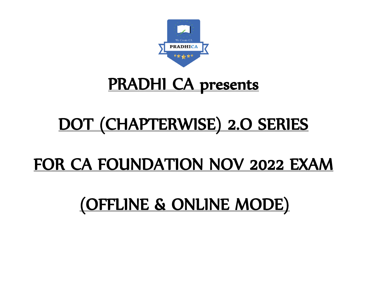

## PRADHI CA presents

# DOT (CHAPTERWISE) 2.O SERIES

### FOR CA FOUNDATION NOV 2022 EXAM

# (OFFLINE & ONLINE MODE)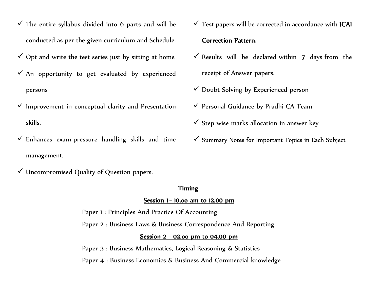- $\checkmark$  The entire syllabus divided into 6 parts and will be conducted as per the given curriculum and Schedule.
- $\checkmark$  Opt and write the test series just by sitting at home
- $\checkmark$  An opportunity to get evaluated by experienced persons
- $\checkmark$  Improvement in conceptual clarity and Presentation skills.
- $\checkmark$  Enhances exam-pressure handling skills and time management.
- $\checkmark$  Uncompromised Quality of Question papers.

#### Timing

#### Session 1 - 10.00 am to 12.00 pm

Paper 1 : Principles And Practice Of Accounting

Paper 2 : Business Laws & Business Correspondence And Reporting

#### Session 2 - 02.oo pm to 04.00 pm

Paper 3 : Business Mathematics, Logical Reasoning & Statistics

Paper 4 : Business Economics & Business And Commercial knowledge

- $\checkmark$  Test papers will be corrected in accordance with ICAI Correction Pattern.
- $\checkmark$  Results will be declared within 7 days from the receipt of Answer papers.
- $\checkmark$  Doubt Solving by Experienced person
- ✓ Personal Guidance by Pradhi CA Team
- $\checkmark$  Step wise marks allocation in answer key
- ✓ Summary Notes for Important Topics in Each Subject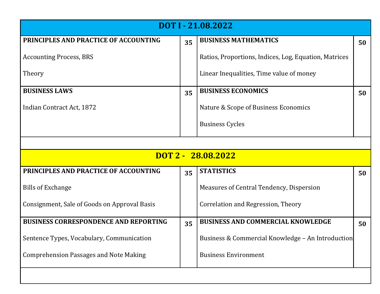| DOT I - 21.08.2022                            |    |                                                       |    |
|-----------------------------------------------|----|-------------------------------------------------------|----|
| PRINCIPLES AND PRACTICE OF ACCOUNTING         | 35 | <b>BUSINESS MATHEMATICS</b>                           | 50 |
| <b>Accounting Process, BRS</b>                |    | Ratios, Proportions, Indices, Log, Equation, Matrices |    |
| Theory                                        |    | Linear Inequalities, Time value of money              |    |
| <b>BUSINESS LAWS</b>                          | 35 | <b>BUSINESS ECONOMICS</b>                             | 50 |
| Indian Contract Act, 1872                     |    | Nature & Scope of Business Economics                  |    |
|                                               |    | <b>Business Cycles</b>                                |    |
|                                               |    |                                                       |    |
| DOT 2 - 28.08.2022                            |    |                                                       |    |
| PRINCIPLES AND PRACTICE OF ACCOUNTING         | 35 | <b>STATISTICS</b>                                     | 50 |
| <b>Bills of Exchange</b>                      |    | Measures of Central Tendency, Dispersion              |    |
| Consignment, Sale of Goods on Approval Basis  |    | Correlation and Regression, Theory                    |    |
| <b>BUSINESS CORRESPONDENCE AND REPORTING</b>  | 35 | <b>BUSINESS AND COMMERCIAL KNOWLEDGE</b>              | 50 |
| Sentence Types, Vocabulary, Communication     |    | Business & Commercial Knowledge - An Introduction     |    |
| <b>Comprehension Passages and Note Making</b> |    | <b>Business Environment</b>                           |    |
|                                               |    |                                                       |    |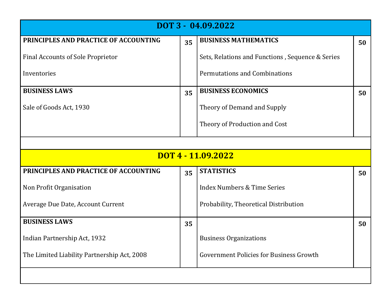| DOT 3 - 04.09.2022                          |    |                                                  |    |
|---------------------------------------------|----|--------------------------------------------------|----|
| PRINCIPLES AND PRACTICE OF ACCOUNTING       | 35 | <b>BUSINESS MATHEMATICS</b>                      | 50 |
| <b>Final Accounts of Sole Proprietor</b>    |    | Sets, Relations and Functions, Sequence & Series |    |
| Inventories                                 |    | <b>Permutations and Combinations</b>             |    |
| <b>BUSINESS LAWS</b>                        | 35 | <b>BUSINESS ECONOMICS</b>                        | 50 |
| Sale of Goods Act, 1930                     |    | Theory of Demand and Supply                      |    |
|                                             |    | Theory of Production and Cost                    |    |
|                                             |    |                                                  |    |
| DOT 4 - 11.09.2022                          |    |                                                  |    |
| PRINCIPLES AND PRACTICE OF ACCOUNTING       | 35 | <b>STATISTICS</b>                                | 50 |
| Non Profit Organisation                     |    | <b>Index Numbers &amp; Time Series</b>           |    |
| Average Due Date, Account Current           |    | Probability, Theoretical Distribution            |    |
| <b>BUSINESS LAWS</b>                        | 35 |                                                  | 50 |
|                                             |    |                                                  |    |
| Indian Partnership Act, 1932                |    | <b>Business Organizations</b>                    |    |
| The Limited Liability Partnership Act, 2008 |    | <b>Government Policies for Business Growth</b>   |    |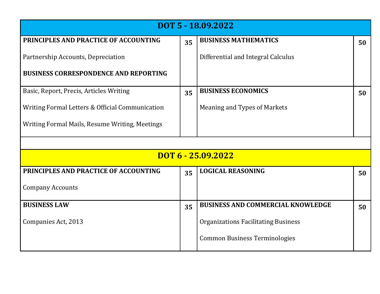| DOT 5 - 18.09.2022                              |    |                                            |    |
|-------------------------------------------------|----|--------------------------------------------|----|
| PRINCIPLES AND PRACTICE OF ACCOUNTING           | 35 | <b>BUSINESS MATHEMATICS</b>                | 50 |
| Partnership Accounts, Depreciation              |    | Differential and Integral Calculus         |    |
| <b>BUSINESS CORRESPONDENCE AND REPORTING</b>    |    |                                            |    |
| Basic, Report, Precis, Articles Writing         | 35 | <b>BUSINESS ECONOMICS</b>                  | 50 |
| Writing Formal Letters & Official Communication |    | Meaning and Types of Markets               |    |
| Writing Formal Mails, Resume Writing, Meetings  |    |                                            |    |
|                                                 |    |                                            |    |
| DOT 6 - 25.09.2022                              |    |                                            |    |
| PRINCIPLES AND PRACTICE OF ACCOUNTING           | 35 | <b>LOGICAL REASONING</b>                   | 50 |
| <b>Company Accounts</b>                         |    |                                            |    |
| <b>BUSINESS LAW</b>                             | 35 | <b>BUSINESS AND COMMERCIAL KNOWLEDGE</b>   | 50 |
| Companies Act, 2013                             |    | <b>Organizations Facilitating Business</b> |    |
|                                                 |    | <b>Common Business Terminologies</b>       |    |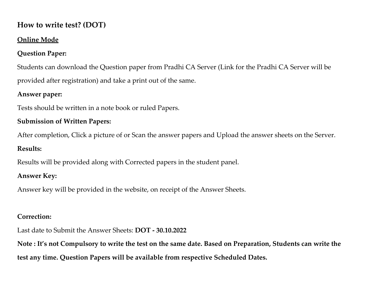#### **How to write test? (DOT)**

#### **Online Mode**

#### **Question Paper:**

Students can download the Question paper from Pradhi CA Server (Link for the Pradhi CA Server will be provided after registration) and take a print out of the same.

#### **Answer paper:**

Tests should be written in a note book or ruled Papers.

#### **Submission of Written Papers:**

After completion, Click a picture of or Scan the answer papers and Upload the answer sheets on the Server.

#### **Results:**

Results will be provided along with Corrected papers in the student panel.

#### **Answer Key:**

Answer key will be provided in the website, on receipt of the Answer Sheets.

#### **Correction:**

Last date to Submit the Answer Sheets: **DOT - 30.10.2022** 

**Note : It's not Compulsory to write the test on the same date. Based on Preparation, Students can write the test any time. Question Papers will be available from respective Scheduled Dates.**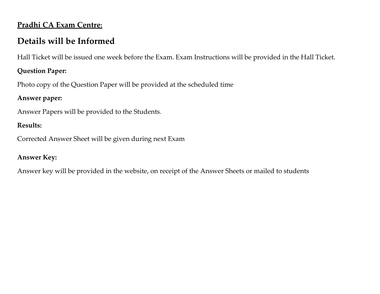#### **Pradhi CA Exam Centre:**

### **Details will be Informed**

Hall Ticket will be issued one week before the Exam. Exam Instructions will be provided in the Hall Ticket.

#### **Question Paper:**

Photo copy of the Question Paper will be provided at the scheduled time

#### **Answer paper:**

Answer Papers will be provided to the Students.

#### **Results:**

Corrected Answer Sheet will be given during next Exam

#### **Answer Key:**

Answer key will be provided in the website, on receipt of the Answer Sheets or mailed to students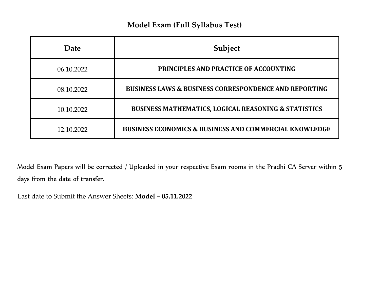#### **Model Exam (Full Syllabus Test)**

| Date       | Subject                                                           |
|------------|-------------------------------------------------------------------|
| 06.10.2022 | <b>PRINCIPLES AND PRACTICE OF ACCOUNTING</b>                      |
| 08.10.2022 | <b>BUSINESS LAWS &amp; BUSINESS CORRESPONDENCE AND REPORTING</b>  |
| 10.10.2022 | <b>BUSINESS MATHEMATICS, LOGICAL REASONING &amp; STATISTICS</b>   |
| 12.10.2022 | <b>BUSINESS ECONOMICS &amp; BUSINESS AND COMMERCIAL KNOWLEDGE</b> |

Model Exam Papers will be corrected / Uploaded in your respective Exam rooms in the Pradhi CA Server within 5 days from the date of transfer.

Last date to Submit the Answer Sheets: **Model – 05.11.2022**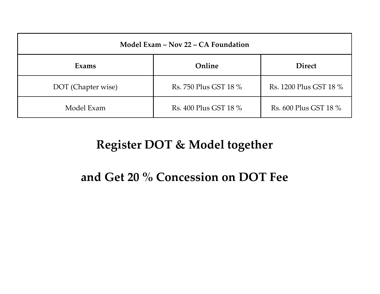| Model Exam – Nov 22 – CA Foundation |                       |                        |  |
|-------------------------------------|-----------------------|------------------------|--|
| Exams                               | Online                | <b>Direct</b>          |  |
| DOT (Chapter wise)                  | Rs. 750 Plus GST 18 % | Rs. 1200 Plus GST 18 % |  |
| Model Exam                          | Rs. 400 Plus GST 18 % | Rs. 600 Plus GST 18 %  |  |

### **Register DOT & Model together**

### **and Get 20 % Concession on DOT Fee**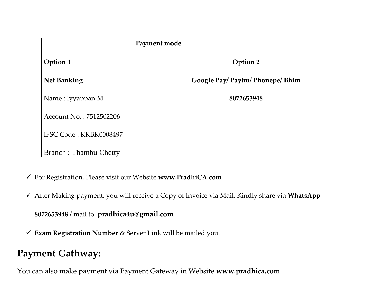| Payment mode                 |                                  |  |
|------------------------------|----------------------------------|--|
| Option 1                     | <b>Option 2</b>                  |  |
| <b>Net Banking</b>           | Google Pay/ Paytm/ Phonepe/ Bhim |  |
| Name: Iyyappan M             | 8072653948                       |  |
| Account No.: 7512502206      |                                  |  |
| IFSC Code: KKBK0008497       |                                  |  |
| <b>Branch: Thambu Chetty</b> |                                  |  |

- ✓ For Registration, Please visit our Website **www.PradhiCA.com**
- ✓ After Making payment, you will receive a Copy of Invoice via Mail. Kindly share via **WhatsApp**

**8072653948 /** mail to **pradhica4u@gmail.com**

✓ **Exam Registration Number** & Server Link will be mailed you.

### **Payment Gathway:**

You can also make payment via Payment Gateway in Website **www.pradhica.com**